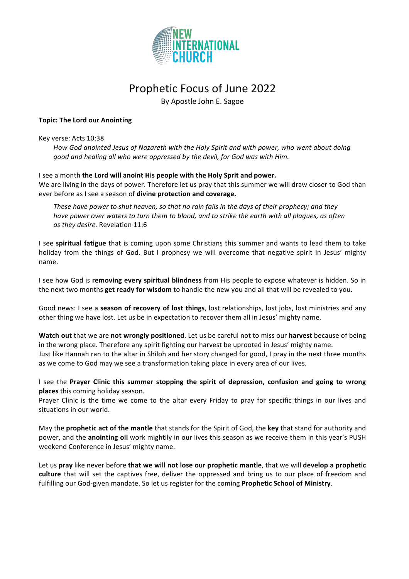

## Prophetic Focus of June 2022

By Apostle John E. Sagoe

## **Topic: The Lord our Anointing**

## Key verse: Acts 10:38

How God anointed Jesus of Nazareth with the Holy Spirit and with power, who went about doing good and healing all who were oppressed by the devil, for God was with Him.

## I see a month **the Lord will anoint His people with the Holy Sprit and power.**

We are living in the days of power. Therefore let us pray that this summer we will draw closer to God than ever before as I see a season of divine protection and coverage.

These have power to shut heaven, so that no rain falls in the days of their prophecy; and they *have power over waters to turn them to blood, and to strike the earth with all plagues, as often* as they desire. Revelation 11:6

I see **spiritual fatigue** that is coming upon some Christians this summer and wants to lead them to take holiday from the things of God. But I prophesy we will overcome that negative spirit in Jesus' mighty name.

I see how God is removing every spiritual blindness from His people to expose whatever is hidden. So in the next two months **get ready for wisdom** to handle the new you and all that will be revealed to you.

Good news: I see a **season of recovery of lost things**, lost relationships, lost jobs, lost ministries and any other thing we have lost. Let us be in expectation to recover them all in Jesus' mighty name.

**Watch out** that we are not wrongly positioned. Let us be careful not to miss our harvest because of being in the wrong place. Therefore any spirit fighting our harvest be uprooted in Jesus' mighty name. Just like Hannah ran to the altar in Shiloh and her story changed for good, I pray in the next three months as we come to God may we see a transformation taking place in every area of our lives.

I see the Prayer Clinic this summer stopping the spirit of depression, confusion and going to wrong **places** this coming holiday season.

Prayer Clinic is the time we come to the altar every Friday to pray for specific things in our lives and situations in our world.

May the **prophetic act of the mantle** that stands for the Spirit of God, the key that stand for authority and power, and the **anointing oil** work mightily in our lives this season as we receive them in this year's PUSH weekend Conference in Jesus' mighty name.

Let us pray like never before that we will not lose our prophetic mantle, that we will develop a prophetic **culture** that will set the captives free, deliver the oppressed and bring us to our place of freedom and fulfilling our God-given mandate. So let us register for the coming **Prophetic School of Ministry**.